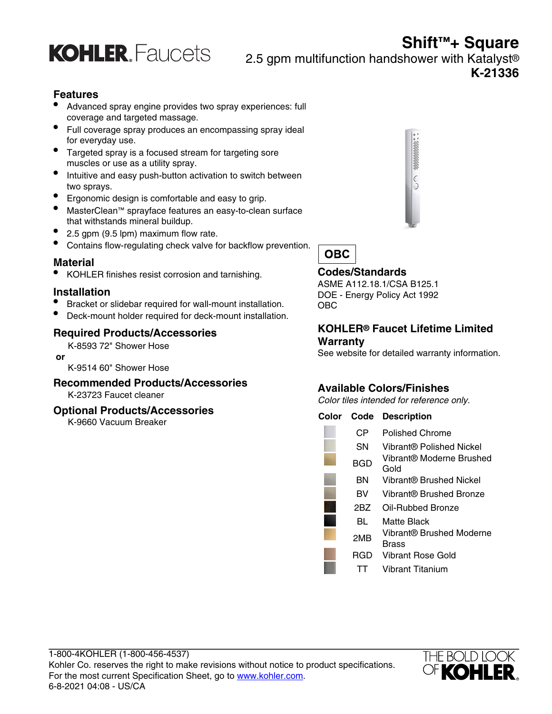

**Shift™+ Square** 2.5 gpm multifunction handshower with Katalyst® **K-21336**

# **Features**

- Advanced spray engine provides two spray experiences: full coverage and targeted massage.
- Full coverage spray produces an encompassing spray ideal for everyday use.
- Targeted spray is a focused stream for targeting sore muscles or use as a utility spray.
- Intuitive and easy push-button activation to switch between two sprays.
- Ergonomic design is comfortable and easy to grip.
- MasterClean™ sprayface features an easy-to-clean surface that withstands mineral buildup.
- 2.5 gpm (9.5 lpm) maximum flow rate.
- Contains flow-regulating check valve for backflow prevention.

### **Material**

• KOHLER finishes resist corrosion and tarnishing.

# **Installation**

- Bracket or slidebar required for wall-mount installation.
- Deck-mount holder required for deck-mount installation.

# **Required Products/Accessories**

K-8593 72" Shower Hose

 **or**

K-9514 60" Shower Hose

# **Recommended Products/Accessories**

K-23723 Faucet cleaner

#### **Optional Products/Accessories**

K-9660 Vacuum Breaker





# **Codes/Standards**

ASME A112.18.1/CSA B125.1 DOE - Energy Policy Act 1992 OBC

#### **KOHLER® Faucet Lifetime Limited Warranty**

See website for detailed warranty information.

# **Available Colors/Finishes**

Color tiles intended for reference only.

#### **Color Code Description**

| СP  | Polished Chrome                   |
|-----|-----------------------------------|
| SΝ  | Vibrant® Polished Nickel          |
| BGD | Vibrant® Moderne Brushed<br>Gold  |
| ΒN  | Vibrant® Brushed Nickel           |
| вv  | Vibrant® Brushed Bronze           |
| 2BZ | Oil-Rubbed Bronze                 |
| BL  | Matte Black                       |
| 2MB | Vibrant® Brushed Moderne<br>Brass |
| RGD | <b>Vibrant Rose Gold</b>          |
|     | Vibrant Titanium                  |